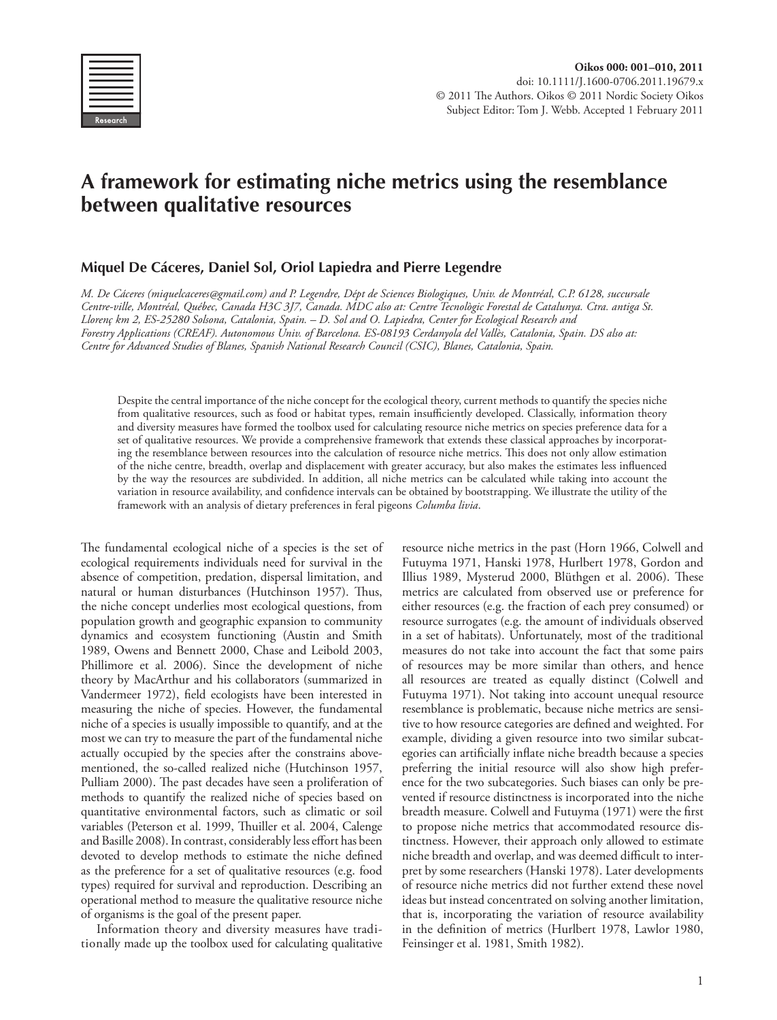| Research |
|----------|

# **A framework for estimating niche metrics using the resemblance between qualitative resources**

# **Miquel De Cáceres, Daniel Sol, Oriol Lapiedra and Pierre Legendre**

*M. De Cáceres (miquelcaceres@gmail.com) and P. Legendre, Dépt de Sciences Biologiques, Univ. de Montréal, C.P. 6128, succursale Centre-ville, Montréal, Québec, Canada H3C 3J7, Canada. MDC also at: Centre Tecnològic Forestal de Catalunya. Ctra. antiga St. Llorenç km 2, ES-25280 Solsona, Catalonia, Spain. – D. Sol and O. Lapiedra, Center for Ecological Research and Forestry Applications (CREAF). Autonomous Univ. of Barcelona. ES-08193 Cerdanyola del Vallès, Catalonia, Spain. DS also at: Centre for Advanced Studies of Blanes, Spanish National Research Council (CSIC), Blanes, Catalonia, Spain.*

Despite the central importance of the niche concept for the ecological theory, current methods to quantify the species niche from qualitative resources, such as food or habitat types, remain insufficiently developed. Classically, information theory and diversity measures have formed the toolbox used for calculating resource niche metrics on species preference data for a set of qualitative resources. We provide a comprehensive framework that extends these classical approaches by incorporating the resemblance between resources into the calculation of resource niche metrics. This does not only allow estimation of the niche centre, breadth, overlap and displacement with greater accuracy, but also makes the estimates less influenced by the way the resources are subdivided. In addition, all niche metrics can be calculated while taking into account the variation in resource availability, and confidence intervals can be obtained by bootstrapping. We illustrate the utility of the framework with an analysis of dietary preferences in feral pigeons *Columba livia*.

The fundamental ecological niche of a species is the set of ecological requirements individuals need for survival in the absence of competition, predation, dispersal limitation, and natural or human disturbances (Hutchinson 1957). Thus, the niche concept underlies most ecological questions, from population growth and geographic expansion to community dynamics and ecosystem functioning (Austin and Smith 1989, Owens and Bennett 2000, Chase and Leibold 2003, Phillimore et al. 2006). Since the development of niche theory by MacArthur and his collaborators (summarized in Vandermeer 1972), field ecologists have been interested in measuring the niche of species. However, the fundamental niche of a species is usually impossible to quantify, and at the most we can try to measure the part of the fundamental niche actually occupied by the species after the constrains abovementioned, the so-called realized niche (Hutchinson 1957, Pulliam 2000). The past decades have seen a proliferation of methods to quantify the realized niche of species based on quantitative environmental factors, such as climatic or soil variables (Peterson et al. 1999, Thuiller et al. 2004, Calenge and Basille 2008). In contrast, considerably less effort has been devoted to develop methods to estimate the niche defined as the preference for a set of qualitative resources (e.g. food types) required for survival and reproduction. Describing an operational method to measure the qualitative resource niche of organisms is the goal of the present paper.

Information theory and diversity measures have traditionally made up the toolbox used for calculating qualitative resource niche metrics in the past (Horn 1966, Colwell and Futuyma 1971, Hanski 1978, Hurlbert 1978, Gordon and Illius 1989, Mysterud 2000, Blüthgen et al. 2006). These metrics are calculated from observed use or preference for either resources (e.g. the fraction of each prey consumed) or resource surrogates (e.g. the amount of individuals observed in a set of habitats). Unfortunately, most of the traditional measures do not take into account the fact that some pairs of resources may be more similar than others, and hence all resources are treated as equally distinct (Colwell and Futuyma 1971). Not taking into account unequal resource resemblance is problematic, because niche metrics are sensitive to how resource categories are defined and weighted. For example, dividing a given resource into two similar subcategories can artificially inflate niche breadth because a species preferring the initial resource will also show high preference for the two subcategories. Such biases can only be prevented if resource distinctness is incorporated into the niche breadth measure. Colwell and Futuyma (1971) were the first to propose niche metrics that accommodated resource distinctness. However, their approach only allowed to estimate niche breadth and overlap, and was deemed difficult to interpret by some researchers (Hanski 1978). Later developments of resource niche metrics did not further extend these novel ideas but instead concentrated on solving another limitation, that is, incorporating the variation of resource availability in the definition of metrics (Hurlbert 1978, Lawlor 1980, Feinsinger et al. 1981, Smith 1982).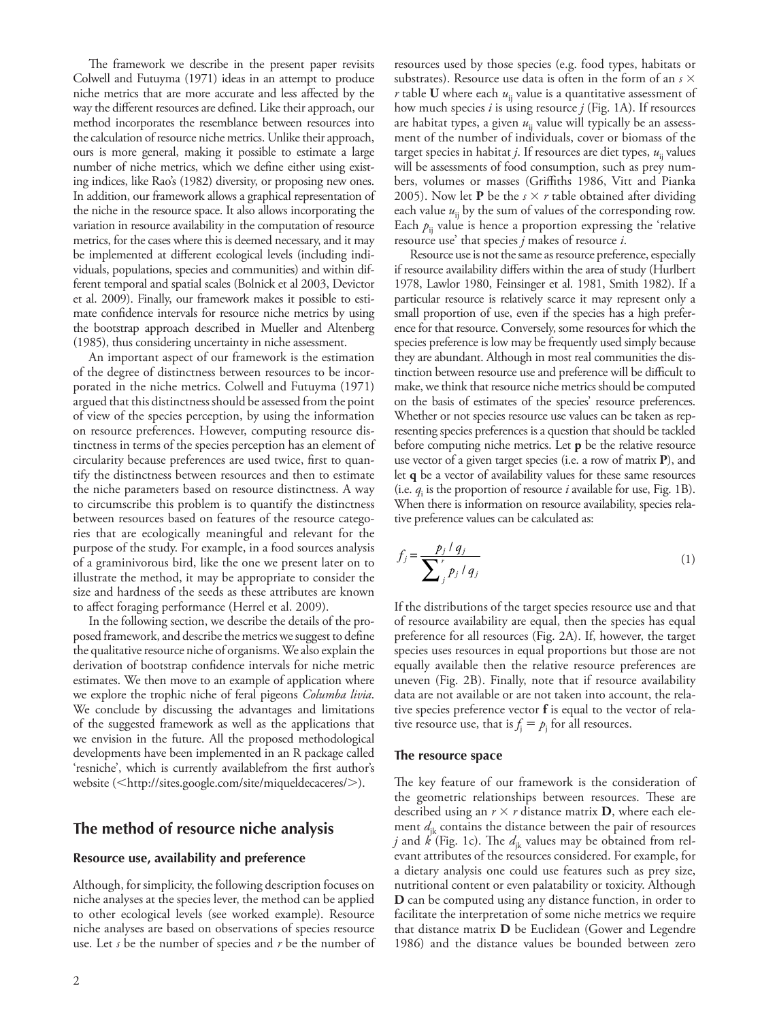The framework we describe in the present paper revisits Colwell and Futuyma (1971) ideas in an attempt to produce niche metrics that are more accurate and less affected by the way the different resources are defined. Like their approach, our method incorporates the resemblance between resources into the calculation of resource niche metrics. Unlike their approach, ours is more general, making it possible to estimate a large number of niche metrics, which we define either using existing indices, like Rao's (1982) diversity, or proposing new ones. In addition, our framework allows a graphical representation of the niche in the resource space. It also allows incorporating the variation in resource availability in the computation of resource metrics, for the cases where this is deemed necessary, and it may be implemented at different ecological levels (including individuals, populations, species and communities) and within different temporal and spatial scales (Bolnick et al 2003, Devictor et al. 2009). Finally, our framework makes it possible to estimate confidence intervals for resource niche metrics by using the bootstrap approach described in Mueller and Altenberg (1985), thus considering uncertainty in niche assessment.

An important aspect of our framework is the estimation of the degree of distinctness between resources to be incorporated in the niche metrics. Colwell and Futuyma (1971) argued that this distinctness should be assessed from the point of view of the species perception, by using the information on resource preferences. However, computing resource distinctness in terms of the species perception has an element of circularity because preferences are used twice, first to quantify the distinctness between resources and then to estimate the niche parameters based on resource distinctness. A way to circumscribe this problem is to quantify the distinctness between resources based on features of the resource categories that are ecologically meaningful and relevant for the purpose of the study. For example, in a food sources analysis of a graminivorous bird, like the one we present later on to illustrate the method, it may be appropriate to consider the size and hardness of the seeds as these attributes are known to affect foraging performance (Herrel et al. 2009).

In the following section, we describe the details of the proposed framework, and describe the metrics we suggest to define the qualitative resource niche of organisms. We also explain the derivation of bootstrap confidence intervals for niche metric estimates. We then move to an example of application where we explore the trophic niche of feral pigeons *Columba livia*. We conclude by discussing the advantages and limitations of the suggested framework as well as the applications that we envision in the future. All the proposed methodological developments have been implemented in an R package called 'resniche', which is currently availablefrom the first author's website (<http://sites.google.com/site/miqueldecaceres/>).

# **The method of resource niche analysis**

### **Resource use, availability and preference**

Although, for simplicity, the following description focuses on niche analyses at the species lever, the method can be applied to other ecological levels (see worked example). Resource niche analyses are based on observations of species resource use. Let *s* be the number of species and *r* be the number of resources used by those species (e.g. food types, habitats or substrates). Resource use data is often in the form of an *s r* table **U** where each  $u_{ii}$  value is a quantitative assessment of how much species *i* is using resource *j* (Fig. 1a). If resources are habitat types, a given  $u_{ii}$  value will typically be an assessment of the number of individuals, cover or biomass of the target species in habitat *j*. If resources are diet types,  $u_{ii}$  values will be assessments of food consumption, such as prey numbers, volumes or masses (Griffiths 1986, Vitt and Pianka 2005). Now let **P** be the  $s \times r$  table obtained after dividing each value  $u_{ii}$  by the sum of values of the corresponding row. Each  $p_{ii}$  value is hence a proportion expressing the 'relative resource use' that species *j* makes of resource *i*.

Resource use is not the same as resource preference, especially if resource availability differs within the area of study (Hurlbert 1978, Lawlor 1980, Feinsinger et al. 1981, Smith 1982). If a particular resource is relatively scarce it may represent only a small proportion of use, even if the species has a high preference for that resource. Conversely, some resources for which the species preference is low may be frequently used simply because they are abundant. Although in most real communities the distinction between resource use and preference will be difficult to make, we think that resource niche metrics should be computed on the basis of estimates of the species' resource preferences. Whether or not species resource use values can be taken as representing species preferences is a question that should be tackled before computing niche metrics. Let **p** be the relative resource use vector of a given target species (i.e. a row of matrix **P**), and let **q** be a vector of availability values for these same resources (i.e.  $q_i$  is the proportion of resource *i* available for use, Fig. 1B). When there is information on resource availability, species relative preference values can be calculated as:

$$
f_j = \frac{p_j / q_j}{\sum_{j}^{r} p_j / q_j} \tag{1}
$$

If the distributions of the target species resource use and that of resource availability are equal, then the species has equal preference for all resources (Fig. 2a). If, however, the target species uses resources in equal proportions but those are not equally available then the relative resource preferences are uneven (Fig. 2B). Finally, note that if resource availability data are not available or are not taken into account, the relative species preference vector **f** is equal to the vector of relative resource use, that is  $f_j = p_j$  for all resources.

#### **The resource space**

The key feature of our framework is the consideration of the geometric relationships between resources. These are described using an  $r \times r$  distance matrix **D**, where each element  $d_{ik}$  contains the distance between the pair of resources *j* and *k* (Fig. 1c). The  $d_{ik}$  values may be obtained from relevant attributes of the resources considered. For example, for a dietary analysis one could use features such as prey size, nutritional content or even palatability or toxicity. Although **D** can be computed using any distance function, in order to facilitate the interpretation of some niche metrics we require that distance matrix **D** be Euclidean (Gower and Legendre 1986) and the distance values be bounded between zero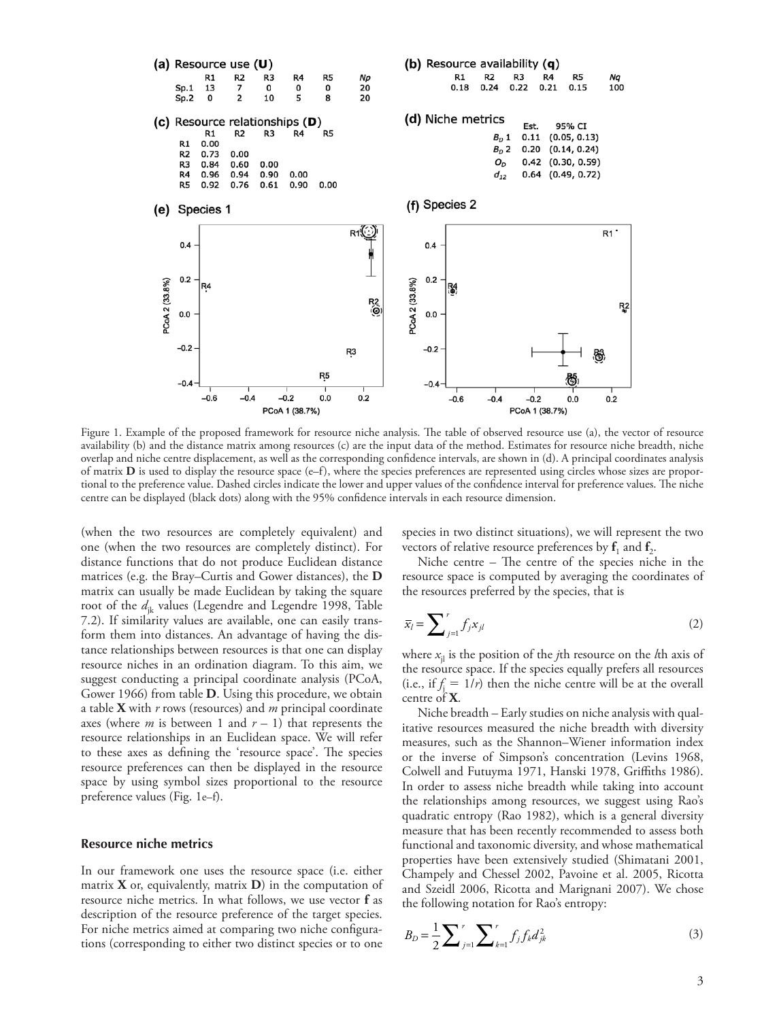

Figure 1. Example of the proposed framework for resource niche analysis. The table of observed resource use (a), the vector of resource availability (b) and the distance matrix among resources (c) are the input data of the method. Estimates for resource niche breadth, niche overlap and niche centre displacement, as well as the corresponding confidence intervals, are shown in (d). A principal coordinates analysis of matrix **D** is used to display the resource space (e–f), where the species preferences are represented using circles whose sizes are proportional to the preference value. Dashed circles indicate the lower and upper values of the confidence interval for preference values. The niche centre can be displayed (black dots) along with the 95% confidence intervals in each resource dimension.

(when the two resources are completely equivalent) and one (when the two resources are completely distinct). For distance functions that do not produce Euclidean distance matrices (e.g. the Bray–Curtis and Gower distances), the **D** matrix can usually be made Euclidean by taking the square root of the  $d_{ik}$  values (Legendre and Legendre 1998, Table 7.2). If similarity values are available, one can easily transform them into distances. An advantage of having the distance relationships between resources is that one can display resource niches in an ordination diagram. To this aim, we suggest conducting a principal coordinate analysis (PCoA, Gower 1966) from table **D**. Using this procedure, we obtain a table **X** with *r* rows (resources) and *m* principal coordinate axes (where *m* is between 1 and *r –* 1) that represents the resource relationships in an Euclidean space. We will refer to these axes as defining the 'resource space'. The species resource preferences can then be displayed in the resource space by using symbol sizes proportional to the resource preference values (Fig. 1e–f).

### **Resource niche metrics**

In our framework one uses the resource space (i.e. either matrix **X** or, equivalently, matrix **D**) in the computation of resource niche metrics. In what follows, we use vector **f** as description of the resource preference of the target species. For niche metrics aimed at comparing two niche configurations (corresponding to either two distinct species or to one

species in two distinct situations), we will represent the two vectors of relative resource preferences by  $f_1$  and  $f_2$ .

Niche centre – The centre of the species niche in the resource space is computed by averaging the coordinates of the resources preferred by the species, that is

$$
\bar{x}_l = \sum_{j=1}^r f_j x_{jl} \tag{2}
$$

where  $x_i$  is the position of the *j*th resource on the *l*th axis of the resource space. If the species equally prefers all resources (i.e., if  $f_i = 1/r$ ) then the niche centre will be at the overall centre of **X**.

Niche breadth – Early studies on niche analysis with qualitative resources measured the niche breadth with diversity measures, such as the Shannon–Wiener information index or the inverse of Simpson's concentration (Levins 1968, Colwell and Futuyma 1971, Hanski 1978, Griffiths 1986). In order to assess niche breadth while taking into account the relationships among resources, we suggest using Rao's quadratic entropy (Rao 1982), which is a general diversity measure that has been recently recommended to assess both functional and taxonomic diversity, and whose mathematical properties have been extensively studied (Shimatani 2001, Champely and Chessel 2002, Pavoine et al. 2005, Ricotta and Szeidl 2006, Ricotta and Marignani 2007). We chose the following notation for Rao's entropy:

$$
B_D = \frac{1}{2} \sum_{j=1}^{r} \sum_{k=1}^{r} f_j f_k d_{jk}^2
$$
 (3)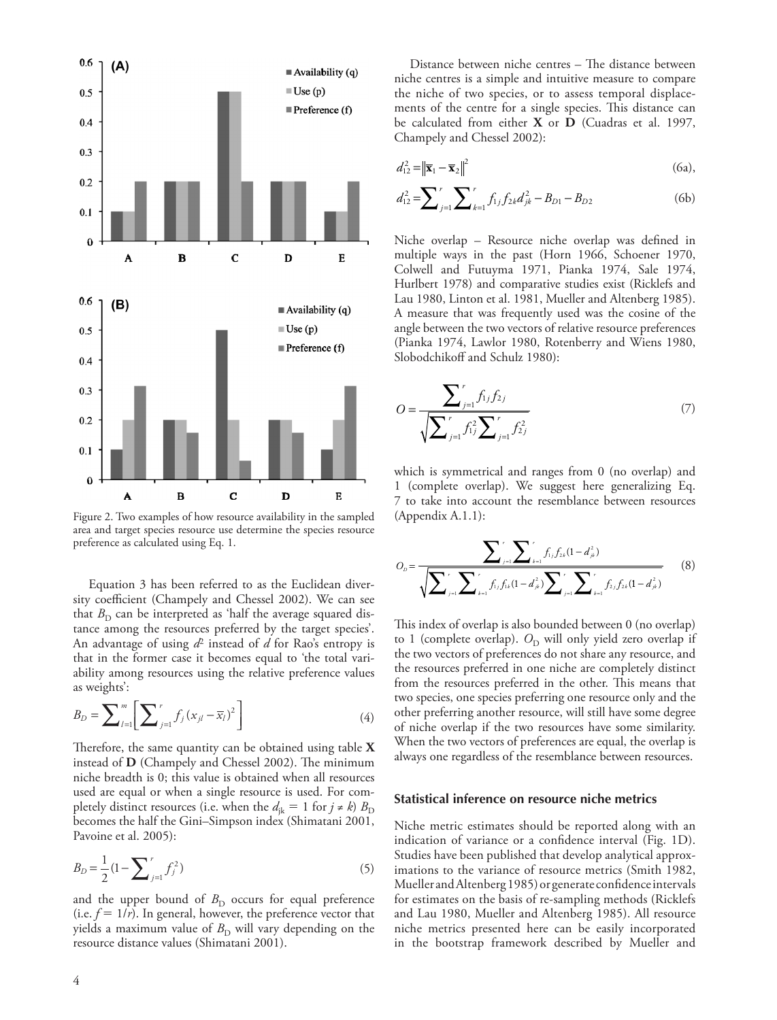

Figure 2. Two examples of how resource availability in the sampled area and target species resource use determine the species resource preference as calculated using Eq. 1.

Equation 3 has been referred to as the Euclidean diversity coefficient (Champely and Chessel 2002). We can see that  $B<sub>D</sub>$  can be interpreted as 'half the average squared distance among the resources preferred by the target species'. An advantage of using *d*2 instead of *d* for Rao's entropy is that in the former case it becomes equal to 'the total variability among resources using the relative preference values as weights':

$$
B_D = \sum_{l=1}^{m} \left[ \sum_{j=1}^{r} f_j (x_{jl} - \overline{x}_l)^2 \right]
$$
 (4)

Therefore, the same quantity can be obtained using table **X** instead of **D** (Champely and Chessel 2002). The minimum niche breadth is 0; this value is obtained when all resources used are equal or when a single resource is used. For completely distinct resources (i.e. when the  $d_{ik} = 1$  for  $j \neq k$ )  $B_D$ becomes the half the Gini–Simpson index (Shimatani 2001, Pavoine et al. 2005):

$$
B_D = \frac{1}{2} (1 - \sum_{j=1}^{r} f_j^2)
$$
 (5)

and the upper bound of  $B<sub>D</sub>$  occurs for equal preference (i.e.  $f = 1/r$ ). In general, however, the preference vector that yields a maximum value of  $B<sub>D</sub>$  will vary depending on the resource distance values (Shimatani 2001).

Distance between niche centres – The distance between niche centres is a simple and intuitive measure to compare the niche of two species, or to assess temporal displacements of the centre for a single species. This distance can be calculated from either **X** or **D** (Cuadras et al. 1997, Champely and Chessel 2002):

$$
d_{12}^2 = \left\| \overline{\mathbf{x}}_1 - \overline{\mathbf{x}}_2 \right\|^2 \tag{6a}
$$

$$
d_{12}^2 = \sum_{j=1}^r \sum_{k=1}^r f_{1j} f_{2k} d_{jk}^2 - B_{D1} - B_{D2}
$$
 (6b)

Niche overlap – Resource niche overlap was defined in multiple ways in the past (Horn 1966, Schoener 1970, Colwell and Futuyma 1971, Pianka 1974, Sale 1974, Hurlbert 1978) and comparative studies exist (Ricklefs and Lau 1980, Linton et al. 1981, Mueller and Altenberg 1985). A measure that was frequently used was the cosine of the angle between the two vectors of relative resource preferences (Pianka 1974, Lawlor 1980, Rotenberry and Wiens 1980, Slobodchikoff and Schulz 1980):

$$
O = \frac{\sum_{j=1}^{r} f_{1j} f_{2j}}{\sqrt{\sum_{j=1}^{r} f_{1j}^{2} \sum_{j=1}^{r} f_{2j}^{2}}}
$$
(7)

which is symmetrical and ranges from 0 (no overlap) and 1 (complete overlap). We suggest here generalizing Eq. 7 to take into account the resemblance between resources (Appendix A.1.1):

$$
O_{D} = \frac{\sum_{j=1}^{r} \sum_{k=1}^{r} f_{1j} f_{2k} (1 - d_{jk}^{2})}{\sqrt{\sum_{j=1}^{r} \sum_{k=1}^{r} f_{1j} f_{1k} (1 - d_{jk}^{2}) \sum_{j=1}^{r} \sum_{k=1}^{r} f_{2j} f_{2k} (1 - d_{jk}^{2})}}
$$
(8)

This index of overlap is also bounded between 0 (no overlap) to 1 (complete overlap).  $O_D$  will only yield zero overlap if the two vectors of preferences do not share any resource, and the resources preferred in one niche are completely distinct from the resources preferred in the other. This means that two species, one species preferring one resource only and the other preferring another resource, will still have some degree of niche overlap if the two resources have some similarity. When the two vectors of preferences are equal, the overlap is always one regardless of the resemblance between resources.

#### **Statistical inference on resource niche metrics**

Niche metric estimates should be reported along with an indication of variance or a confidence interval (Fig. 1D). Studies have been published that develop analytical approximations to the variance of resource metrics (Smith 1982, Mueller and Altenberg 1985) or generate confidence intervals for estimates on the basis of re-sampling methods (Ricklefs and Lau 1980, Mueller and Altenberg 1985). All resource niche metrics presented here can be easily incorporated in the bootstrap framework described by Mueller and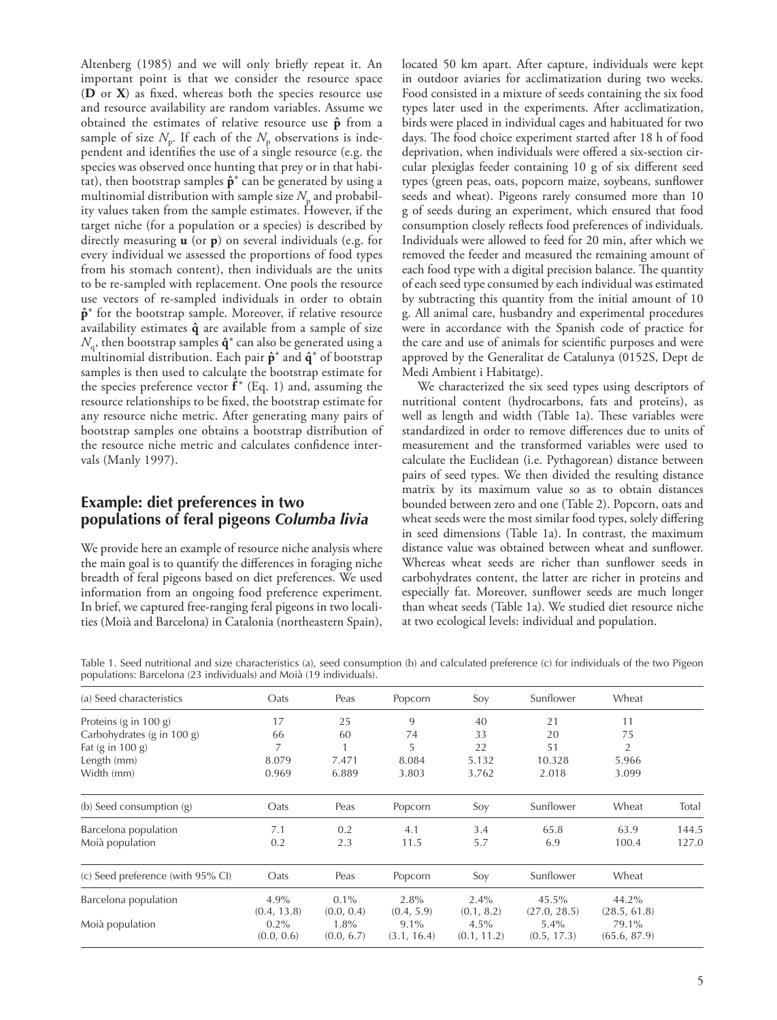Altenberg (1985) and we will only briefly repeat it. An important point is that we consider the resource space (**D** or **X**) as fixed, whereas both the species resource use and resource availability are random variables. Assume we obtained the estimates of relative resource use **pˆ** from a sample of size  $N_p$ . If each of the  $N_p$  observations is independent and identifies the use of a single resource (e.g. the species was observed once hunting that prey or in that habitat), then bootstrap samples **pˆ \*** can be generated by using a multinomial distribution with sample size  $N_p$  and probability values taken from the sample estimates. However, if the target niche (for a population or a species) is described by directly measuring **u** (or **p**) on several individuals (e.g. for every individual we assessed the proportions of food types from his stomach content), then individuals are the units to be re-sampled with replacement. One pools the resource use vectors of re-sampled individuals in order to obtain **pˆ \*** for the bootstrap sample. Moreover, if relative resource availability estimates **qˆ** are available from a sample of size  $N_a$ , then bootstrap samples  $\hat{\mathbf{q}}^*$  can also be generated using a multinomial distribution. Each pair **pˆ \*** and **qˆ \*** of bootstrap samples is then used to calculate the bootstrap estimate for the species preference vector **f ˆ\*** (Eq. 1) and, assuming the resource relationships to be fixed, the bootstrap estimate for any resource niche metric. After generating many pairs of bootstrap samples one obtains a bootstrap distribution of the resource niche metric and calculates confidence intervals (Manly 1997).

# **Example: diet preferences in two populations of feral pigeons** *Columba livia*

We provide here an example of resource niche analysis where the main goal is to quantify the differences in foraging niche breadth of feral pigeons based on diet preferences. We used information from an ongoing food preference experiment. In brief, we captured free-ranging feral pigeons in two localities (Moià and Barcelona) in Catalonia (northeastern Spain), located 50 km apart. After capture, individuals were kept in outdoor aviaries for acclimatization during two weeks. Food consisted in a mixture of seeds containing the six food types later used in the experiments. After acclimatization, birds were placed in individual cages and habituated for two days. The food choice experiment started after 18 h of food deprivation, when individuals were offered a six-section circular plexiglas feeder containing 10 g of six different seed types (green peas, oats, popcorn maize, soybeans, sunflower seeds and wheat). Pigeons rarely consumed more than 10 g of seeds during an experiment, which ensured that food consumption closely reflects food preferences of individuals. Individuals were allowed to feed for 20 min, after which we removed the feeder and measured the remaining amount of each food type with a digital precision balance. The quantity of each seed type consumed by each individual was estimated by subtracting this quantity from the initial amount of 10 g. All animal care, husbandry and experimental procedures were in accordance with the Spanish code of practice for the care and use of animals for scientific purposes and were approved by the Generalitat de Catalunya (0152S, Dept de Medi Ambient i Habitatge).

We characterized the six seed types using descriptors of nutritional content (hydrocarbons, fats and proteins), as well as length and width (Table 1a). These variables were standardized in order to remove differences due to units of measurement and the transformed variables were used to calculate the Euclidean (i.e. Pythagorean) distance between pairs of seed types. We then divided the resulting distance matrix by its maximum value so as to obtain distances bounded between zero and one (Table 2). Popcorn, oats and wheat seeds were the most similar food types, solely differing in seed dimensions (Table 1a). In contrast, the maximum distance value was obtained between wheat and sunflower. Whereas wheat seeds are richer than sunflower seeds in carbohydrates content, the latter are richer in proteins and especially fat. Moreover, sunflower seeds are much longer than wheat seeds (Table 1a). We studied diet resource niche at two ecological levels: individual and population.

Table 1. Seed nutritional and size characteristics (a), seed consumption (b) and calculated preference (c) for individuals of the two Pigeon populations: Barcelona (23 individuals) and Moià (19 individuals).

| (a) Seed characteristics          | Oats                  | Peas                  | Popcorn                | Soy                    | Sunflower              | Wheat                 |       |
|-----------------------------------|-----------------------|-----------------------|------------------------|------------------------|------------------------|-----------------------|-------|
| Proteins (g in 100 g)             | 17                    | 25                    | 9                      | 40                     | 21                     | 11                    |       |
| Carbohydrates (g in 100 g)        | 66                    | 60                    | 74                     | 33                     | 20                     | 75                    |       |
| Fat (g in 100 g)                  |                       |                       | 5                      | 22                     | 51                     | $\overline{2}$        |       |
| Length (mm)                       | 8.079                 | 7.471                 | 8.084                  | 5.132                  | 10.328                 | 5.966                 |       |
| Width (mm)                        | 0.969                 | 6.889                 | 3.803                  | 3.762                  | 2.018                  | 3.099                 |       |
| (b) Seed consumption (g)          | Oats                  | Peas                  | Popcorn                | Soy                    | Sunflower              | Wheat                 | Total |
| Barcelona population              | 7.1                   | 0.2                   | 4.1                    | 3.4                    | 65.8                   | 63.9                  | 144.5 |
| Moià population                   | 0.2                   | 2.3                   | 11.5                   | 5.7                    | 6.9                    | 100.4                 | 127.0 |
| (c) Seed preference (with 95% CI) | Oats                  | Peas                  | Popcorn                | Soy                    | Sunflower              | Wheat                 |       |
| Barcelona population              | 4.9%<br>(0.4, 13.8)   | $0.1\%$<br>(0.0, 0.4) | $2.8\%$<br>(0.4, 5.9)  | $2.4\%$<br>(0.1, 8.2)  | 45.5%<br>(27.0, 28.5)  | 44.2%<br>(28.5, 61.8) |       |
| Moià population                   | $0.2\%$<br>(0.0, 0.6) | $1.8\%$<br>(0.0, 6.7) | $9.1\%$<br>(3.1, 16.4) | $4.5\%$<br>(0.1, 11.2) | $5.4\%$<br>(0.5, 17.3) | 79.1%<br>(65.6, 87.9) |       |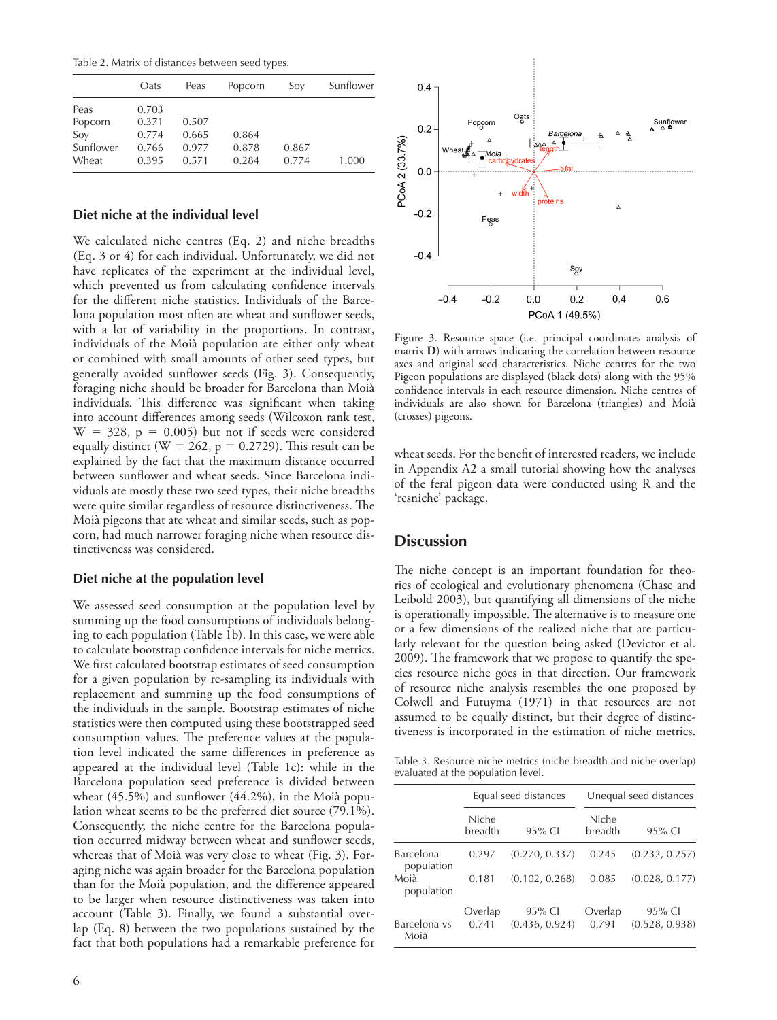Table 2. Matrix of distances between seed types.

|           | Oats  | Peas  | Popcorn | Sov   | Sunflower |
|-----------|-------|-------|---------|-------|-----------|
| Peas      | 0.703 |       |         |       |           |
| Popcorn   | 0.371 | 0.507 |         |       |           |
| Soy       | 0.774 | 0.665 | 0.864   |       |           |
| Sunflower | 0.766 | 0.977 | 0.878   | 0.867 |           |
| Wheat     | 0.395 | 0.571 | 0.284   | 0.774 | 1.000     |

#### **Diet niche at the individual level**

We calculated niche centres (Eq. 2) and niche breadths (Eq. 3 or 4) for each individual. Unfortunately, we did not have replicates of the experiment at the individual level, which prevented us from calculating confidence intervals for the different niche statistics. Individuals of the Barcelona population most often ate wheat and sunflower seeds, with a lot of variability in the proportions. In contrast, individuals of the Moià population ate either only wheat or combined with small amounts of other seed types, but generally avoided sunflower seeds (Fig. 3). Consequently, foraging niche should be broader for Barcelona than Moià individuals. This difference was significant when taking into account differences among seeds (Wilcoxon rank test,  $W = 328$ ,  $p = 0.005$ ) but not if seeds were considered equally distinct (W = 262, p = 0.2729). This result can be explained by the fact that the maximum distance occurred between sunflower and wheat seeds. Since Barcelona individuals ate mostly these two seed types, their niche breadths were quite similar regardless of resource distinctiveness. The Moià pigeons that ate wheat and similar seeds, such as popcorn, had much narrower foraging niche when resource distinctiveness was considered.

#### **Diet niche at the population level**

We assessed seed consumption at the population level by summing up the food consumptions of individuals belonging to each population (Table 1b). In this case, we were able to calculate bootstrap confidence intervals for niche metrics. We first calculated bootstrap estimates of seed consumption for a given population by re-sampling its individuals with replacement and summing up the food consumptions of the individuals in the sample. Bootstrap estimates of niche statistics were then computed using these bootstrapped seed consumption values. The preference values at the population level indicated the same differences in preference as appeared at the individual level (Table 1c): while in the Barcelona population seed preference is divided between wheat (45.5%) and sunflower (44.2%), in the Moià population wheat seems to be the preferred diet source (79.1%). Consequently, the niche centre for the Barcelona population occurred midway between wheat and sunflower seeds, whereas that of Moià was very close to wheat (Fig. 3). Foraging niche was again broader for the Barcelona population than for the Moià population, and the difference appeared to be larger when resource distinctiveness was taken into account (Table 3). Finally, we found a substantial overlap (Eq. 8) between the two populations sustained by the fact that both populations had a remarkable preference for



Figure 3. Resource space (i.e. principal coordinates analysis of matrix **D**) with arrows indicating the correlation between resource axes and original seed characteristics. Niche centres for the two Pigeon populations are displayed (black dots) along with the 95% confidence intervals in each resource dimension. Niche centres of individuals are also shown for Barcelona (triangles) and Moià (crosses) pigeons.

wheat seeds. For the benefit of interested readers, we include in Appendix A2 a small tutorial showing how the analyses of the feral pigeon data were conducted using R and the 'resniche' package.

### **Discussion**

The niche concept is an important foundation for theories of ecological and evolutionary phenomena (Chase and Leibold 2003), but quantifying all dimensions of the niche is operationally impossible. The alternative is to measure one or a few dimensions of the realized niche that are particularly relevant for the question being asked (Devictor et al. 2009). The framework that we propose to quantify the species resource niche goes in that direction. Our framework of resource niche analysis resembles the one proposed by Colwell and Futuyma (1971) in that resources are not assumed to be equally distinct, but their degree of distinctiveness is incorporated in the estimation of niche metrics.

Table 3. Resource niche metrics (niche breadth and niche overlap) evaluated at the population level.

|                         |                  | Equal seed distances     | Unequal seed distances |                          |  |
|-------------------------|------------------|--------------------------|------------------------|--------------------------|--|
|                         | Niche<br>breadth | 95% CI                   | Niche<br>breadth       | $95\%$ Cl                |  |
| Barcelona<br>population | 0.297            | (0.270, 0.337)           | 0.245                  | (0.232, 0.257)           |  |
| Moià<br>population      | 0.181            | (0.102, 0.268)           | 0.085                  | (0.028, 0.177)           |  |
| Barcelona vs<br>Moià    | Overlap<br>0.741 | 95% CI<br>(0.436, 0.924) | Overlap<br>0.791       | 95% CI<br>(0.528, 0.938) |  |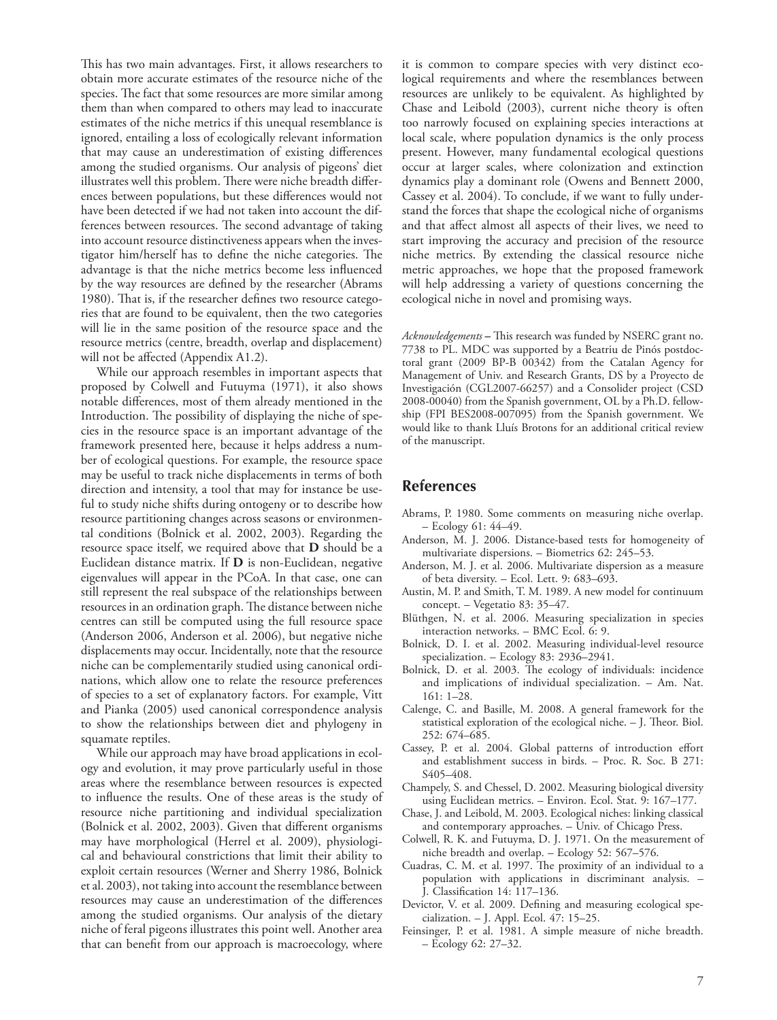This has two main advantages. First, it allows researchers to obtain more accurate estimates of the resource niche of the species. The fact that some resources are more similar among them than when compared to others may lead to inaccurate estimates of the niche metrics if this unequal resemblance is ignored, entailing a loss of ecologically relevant information that may cause an underestimation of existing differences among the studied organisms. Our analysis of pigeons' diet illustrates well this problem. There were niche breadth differences between populations, but these differences would not have been detected if we had not taken into account the differences between resources. The second advantage of taking into account resource distinctiveness appears when the investigator him/herself has to define the niche categories. The advantage is that the niche metrics become less influenced by the way resources are defined by the researcher (Abrams 1980). That is, if the researcher defines two resource categories that are found to be equivalent, then the two categories will lie in the same position of the resource space and the resource metrics (centre, breadth, overlap and displacement) will not be affected (Appendix A1.2).

While our approach resembles in important aspects that proposed by Colwell and Futuyma (1971), it also shows notable differences, most of them already mentioned in the Introduction. The possibility of displaying the niche of species in the resource space is an important advantage of the framework presented here, because it helps address a number of ecological questions. For example, the resource space may be useful to track niche displacements in terms of both direction and intensity, a tool that may for instance be useful to study niche shifts during ontogeny or to describe how resource partitioning changes across seasons or environmental conditions (Bolnick et al. 2002, 2003). Regarding the resource space itself, we required above that **D** should be a Euclidean distance matrix. If **D** is non-Euclidean, negative eigenvalues will appear in the PCoA. In that case, one can still represent the real subspace of the relationships between resources in an ordination graph. The distance between niche centres can still be computed using the full resource space (Anderson 2006, Anderson et al. 2006), but negative niche displacements may occur. Incidentally, note that the resource niche can be complementarily studied using canonical ordinations, which allow one to relate the resource preferences of species to a set of explanatory factors. For example, Vitt and Pianka (2005) used canonical correspondence analysis to show the relationships between diet and phylogeny in squamate reptiles.

While our approach may have broad applications in ecology and evolution, it may prove particularly useful in those areas where the resemblance between resources is expected to influence the results. One of these areas is the study of resource niche partitioning and individual specialization (Bolnick et al. 2002, 2003). Given that different organisms may have morphological (Herrel et al. 2009), physiological and behavioural constrictions that limit their ability to exploit certain resources (Werner and Sherry 1986, Bolnick et al. 2003), not taking into account the resemblance between resources may cause an underestimation of the differences among the studied organisms. Our analysis of the dietary niche of feral pigeons illustrates this point well. Another area that can benefit from our approach is macroecology, where it is common to compare species with very distinct ecological requirements and where the resemblances between resources are unlikely to be equivalent. As highlighted by Chase and Leibold (2003), current niche theory is often too narrowly focused on explaining species interactions at local scale, where population dynamics is the only process present. However, many fundamental ecological questions occur at larger scales, where colonization and extinction dynamics play a dominant role (Owens and Bennett 2000, Cassey et al. 2004). To conclude, if we want to fully understand the forces that shape the ecological niche of organisms and that affect almost all aspects of their lives, we need to start improving the accuracy and precision of the resource niche metrics. By extending the classical resource niche metric approaches, we hope that the proposed framework will help addressing a variety of questions concerning the ecological niche in novel and promising ways.

*Acknowledgements* **–** This research was funded by NSERC grant no. 7738 to PL. MDC was supported by a Beatriu de Pinós postdoctoral grant (2009 BP-B 00342) from the Catalan Agency for Management of Univ. and Research Grants, DS by a Proyecto de Investigación (CGL2007-66257) and a Consolider project (CSD 2008-00040) from the Spanish government, OL by a Ph.D. fellowship (FPI BES2008-007095) from the Spanish government. We would like to thank Lluís Brotons for an additional critical review of the manuscript.

# **References**

- Abrams, P. 1980. Some comments on measuring niche overlap. – Ecology 61: 44–49.
- Anderson, M. J. 2006. Distance-based tests for homogeneity of multivariate dispersions. – Biometrics 62: 245–53.
- Anderson, M. J. et al. 2006. Multivariate dispersion as a measure of beta diversity. – Ecol. Lett. 9: 683–693.
- Austin, M. P. and Smith, T. M. 1989. A new model for continuum concept. – Vegetatio 83: 35–47.
- Blüthgen, N. et al. 2006. Measuring specialization in species interaction networks. – BMC Ecol. 6: 9.
- Bolnick, D. I. et al. 2002. Measuring individual-level resource specialization. – Ecology 83: 2936–2941.
- Bolnick, D. et al. 2003. The ecology of individuals: incidence and implications of individual specialization. – Am. Nat. 161: 1–28.
- Calenge, C. and Basille, M. 2008. A general framework for the statistical exploration of the ecological niche. – J. Theor. Biol. 252: 674–685.
- Cassey, P. et al. 2004. Global patterns of introduction effort and establishment success in birds. – Proc. R. Soc. B 271: S405–408.
- Champely, S. and Chessel, D. 2002. Measuring biological diversity using Euclidean metrics. – Environ. Ecol. Stat. 9: 167–177.
- Chase, J. and Leibold, M. 2003. Ecological niches: linking classical and contemporary approaches. – Univ. of Chicago Press.
- Colwell, R. K. and Futuyma, D. J. 1971. On the measurement of niche breadth and overlap. – Ecology 52: 567–576.
- Cuadras, C. M. et al. 1997. The proximity of an individual to a population with applications in discriminant analysis. – J. Classification 14: 117–136.
- Devictor, V. et al. 2009. Defining and measuring ecological specialization. – J. Appl. Ecol. 47: 15–25.
- Feinsinger, P. et al. 1981. A simple measure of niche breadth. – Ecology 62: 27–32.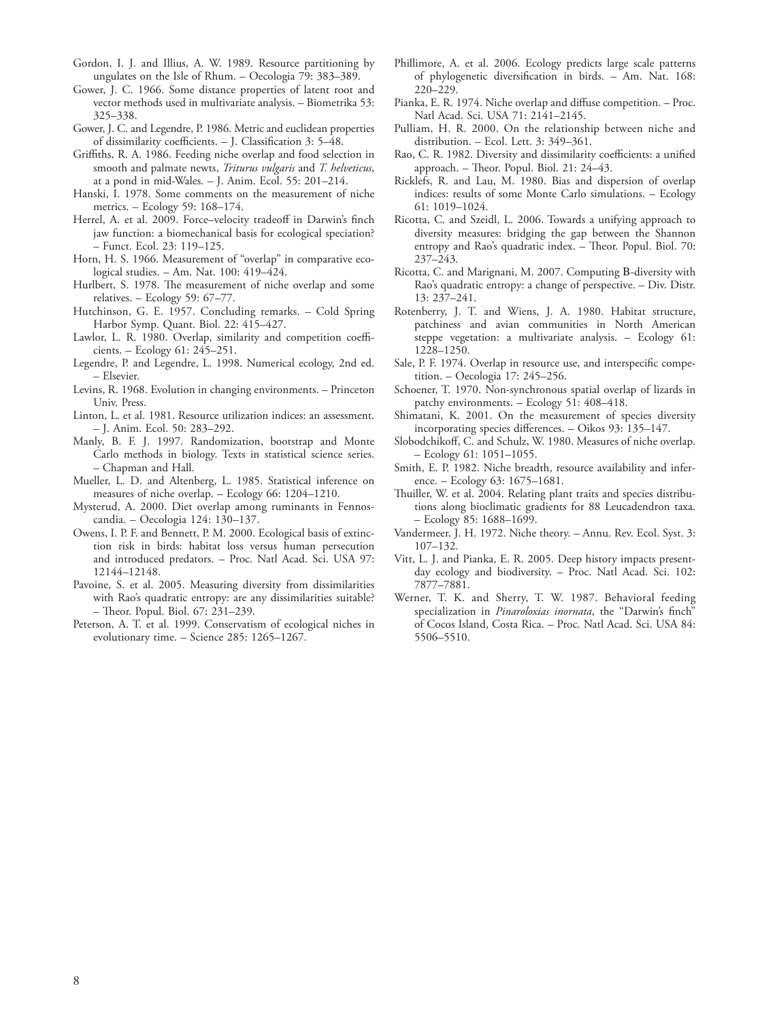- Gordon, I. J. and Illius, A. W. 1989. Resource partitioning by ungulates on the Isle of Rhum. – Oecologia 79: 383–389.
- Gower, J. C. 1966. Some distance properties of latent root and vector methods used in multivariate analysis. – Biometrika 53: 325–338.
- Gower, J. C. and Legendre, P. 1986. Metric and euclidean properties of dissimilarity coefficients. – J. Classification 3: 5–48.
- Griffiths, R. A. 1986. Feeding niche overlap and food selection in smooth and palmate newts, *Triturus vulgaris* and *T. helveticus*, at a pond in mid-Wales. – J. Anim. Ecol. 55: 201–214.
- Hanski, I. 1978. Some comments on the measurement of niche metrics. – Ecology 59: 168–174.
- Herrel, A. et al. 2009. Force–velocity tradeoff in Darwin's finch jaw function: a biomechanical basis for ecological speciation? – Funct. Ecol. 23: 119–125.
- Horn, H. S. 1966. Measurement of "overlap" in comparative ecological studies. – Am. Nat. 100: 419–424.
- Hurlbert, S. 1978. The measurement of niche overlap and some relatives. – Ecology 59: 67–77.
- Hutchinson, G. E. 1957. Concluding remarks. Cold Spring Harbor Symp. Quant. Biol. 22: 415–427.
- Lawlor, L. R. 1980. Overlap, similarity and competition coefficients. – Ecology 61: 245–251.
- Legendre, P. and Legendre, L. 1998. Numerical ecology, 2nd ed. – Elsevier.
- Levins, R. 1968. Evolution in changing environments. Princeton Univ. Press.
- Linton, L. et al. 1981. Resource utilization indices: an assessment. – J. Anim. Ecol. 50: 283–292.
- Manly, B. F. J. 1997. Randomization, bootstrap and Monte Carlo methods in biology. Texts in statistical science series. – Chapman and Hall.
- Mueller, L. D. and Altenberg, L. 1985. Statistical inference on measures of niche overlap. – Ecology 66: 1204–1210.
- Mysterud, A. 2000. Diet overlap among ruminants in Fennoscandia. – Oecologia 124: 130–137.
- Owens, I. P. F. and Bennett, P. M. 2000. Ecological basis of extinction risk in birds: habitat loss versus human persecution and introduced predators. – Proc. Natl Acad. Sci. USA 97: 12144–12148.
- Pavoine, S. et al. 2005. Measuring diversity from dissimilarities with Rao's quadratic entropy: are any dissimilarities suitable? – Theor. Popul. Biol. 67: 231–239.
- Peterson, A. T. et al. 1999. Conservatism of ecological niches in evolutionary time. – Science 285: 1265–1267.
- Phillimore, A. et al. 2006. Ecology predicts large scale patterns of phylogenetic diversification in birds. – Am. Nat. 168: 220–229.
- Pianka, E. R. 1974. Niche overlap and diffuse competition. Proc. Natl Acad. Sci. USA 71: 2141–2145.
- Pulliam, H. R. 2000. On the relationship between niche and distribution. – Ecol. Lett. 3: 349–361.
- Rao, C. R. 1982. Diversity and dissimilarity coefficients: a unified approach. – Theor. Popul. Biol. 21: 24–43.
- Ricklefs, R. and Lau, M. 1980. Bias and dispersion of overlap indices: results of some Monte Carlo simulations. – Ecology 61: 1019–1024.
- Ricotta, C. and Szeidl, L. 2006. Towards a unifying approach to diversity measures: bridging the gap between the Shannon entropy and Rao's quadratic index. – Theor. Popul. Biol. 70: 237–243.
- Ricotta, C. and Marignani, M. 2007. Computing Β-diversity with Rao's quadratic entropy: a change of perspective. – Div. Distr. 13: 237–241.
- Rotenberry, J. T. and Wiens, J. A. 1980. Habitat structure, patchiness and avian communities in North American steppe vegetation: a multivariate analysis. – Ecology 61: 1228–1250.
- Sale, P. F. 1974. Overlap in resource use, and interspecific competition. – Oecologia 17: 245–256.
- Schoener, T. 1970. Non-synchronous spatial overlap of lizards in patchy environments. – Ecology 51: 408–418.
- Shimatani, K. 2001. On the measurement of species diversity incorporating species differences. – Oikos 93: 135–147.
- Slobodchikoff, C. and Schulz, W. 1980. Measures of niche overlap. – Ecology 61: 1051–1055.
- Smith, E. P. 1982. Niche breadth, resource availability and inference. – Ecology 63: 1675–1681.
- Thuiller, W. et al. 2004. Relating plant traits and species distributions along bioclimatic gradients for 88 Leucadendron taxa. – Ecology 85: 1688–1699.
- Vandermeer, J. H. 1972. Niche theory. Annu. Rev. Ecol. Syst. 3: 107–132.
- Vitt, L. J. and Pianka, E. R. 2005. Deep history impacts presentday ecology and biodiversity. – Proc. Natl Acad. Sci. 102: 7877–7881.
- Werner, T. K. and Sherry, T. W. 1987. Behavioral feeding specialization in *Pinaroloxias inornata*, the "Darwin's finch" of Cocos Island, Costa Rica. – Proc. Natl Acad. Sci. USA 84: 5506–5510.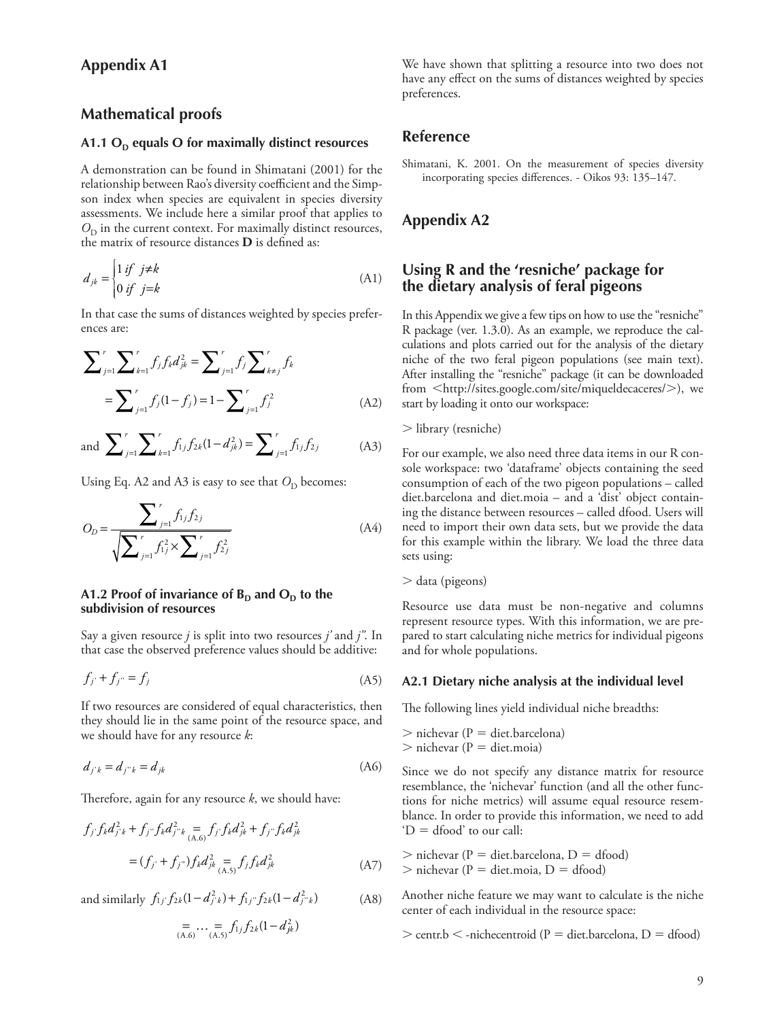# **Mathematical proofs**

# A1.1 O<sub>D</sub> equals O for maximally distinct resources

A demonstration can be found in Shimatani (2001) for the relationship between Rao's diversity coefficient and the Simpson index when species are equivalent in species diversity assessments. We include here a similar proof that applies to  $O_D$  in the current context. For maximally distinct resources, the matrix of resource distances **D** is defined as:

$$
d_{jk} = \begin{cases} 1 \text{ if } j \neq k \\ 0 \text{ if } j = k \end{cases}
$$
 (A1)

In that case the sums of distances weighted by species preferences are:

$$
\sum_{j=1}^{r} \sum_{k=1}^{r} f_j f_k d_{jk}^2 = \sum_{j=1}^{r} f_j \sum_{k \neq j}^{r} f_k
$$

$$
= \sum_{j=1}^{r} f_j (1 - f_j) = 1 - \sum_{j=1}^{r} f_j^2
$$
(A2)

and 
$$
\sum_{j=1}^{r} \sum_{k=1}^{r} f_{1j} f_{2k} (1 - d_{jk}^2) = \sum_{j=1}^{r} f_{1j} f_{2j}
$$
 (A3)

Using Eq. A2 and A3 is easy to see that  $O_D$  becomes:

$$
O_D = \frac{\sum_{j=1}^{r} f_{1j} f_{2j}}{\sqrt{\sum_{j=1}^{r} f_{1j}^2 \times \sum_{j=1}^{r} f_{2j}^2}}
$$
(A4)

### A1.2 Proof of invariance of  $B_D$  and  $O_D$  to the **subdivision of resources**

Say a given resource *j* is split into two resources *j'* and *j''*. In that case the observed preference values should be additive:

$$
f_{j'} + f_{j''} = f_j \tag{A5}
$$

If two resources are considered of equal characteristics, then they should lie in the same point of the resource space, and we should have for any resource *k*:

$$
d_{j'k} = d_{j'k} = d_{jk} \tag{A6}
$$

Therefore, again for any resource *k*, we should have:

$$
f_j f_k d_{j'k}^2 + f_{j''} f_k d_{j''k}^2 = f_j f_k d_{jk}^2 + f_{j''} f_k d_{jk}^2
$$
  
=  $(f_{j'} + f_{j''}) f_k d_{jk}^2 = f_j f_k d_{jk}^2$  (A7)

and similarly  $f_{1j'} f_{2k} (1 - d_{j'k}^2) + f_{1j''} f_{2k} (1 - d_{j''k}^2)$ (A8)

$$
= \dots =_{(A.6)} f_{1j} f_{2k} (1 - d_{jk}^2)
$$

We have shown that splitting a resource into two does not have any effect on the sums of distances weighted by species preferences.

# **Reference**

Shimatani, K. 2001. On the measurement of species diversity incorporating species differences. - Oikos 93: 135–147.

# **Appendix A2**

# **Using R and the 'resniche' package for the dietary analysis of feral pigeons**

In this Appendix we give a few tips on how to use the "resniche" R package (ver. 1.3.0). As an example, we reproduce the calculations and plots carried out for the analysis of the dietary niche of the two feral pigeon populations (see main text). After installing the "resniche" package (it can be downloaded from <http://sites.google.com/site/miqueldecaceres/>), we start by loading it onto our workspace:

library (resniche)

For our example, we also need three data items in our R console workspace: two 'dataframe' objects containing the seed consumption of each of the two pigeon populations – called diet.barcelona and diet.moia – and a 'dist' object containing the distance between resources – called dfood. Users will need to import their own data sets, but we provide the data for this example within the library. We load the three data sets using:

 $>$  data (pigeons)

Resource use data must be non-negative and columns represent resource types. With this information, we are prepared to start calculating niche metrics for individual pigeons and for whole populations.

## **A2.1 Dietary niche analysis at the individual level**

The following lines yield individual niche breadths:

 $>$  nichevar (P = diet.barcelona)  $>$  nichevar (P = diet.moia)

Since we do not specify any distance matrix for resource resemblance, the 'nichevar' function (and all the other functions for niche metrics) will assume equal resource resemblance. In order to provide this information, we need to add  $'D = dfood'$  to our call:

 $>$  nichevar (P = diet.barcelona, D = dfood)  $>$  nichevar (P = diet.moia, D = dfood)

Another niche feature we may want to calculate is the niche center of each individual in the resource space:

 $>$  centr.b  $<$  -nichecentroid (P = diet.barcelona, D = dfood)